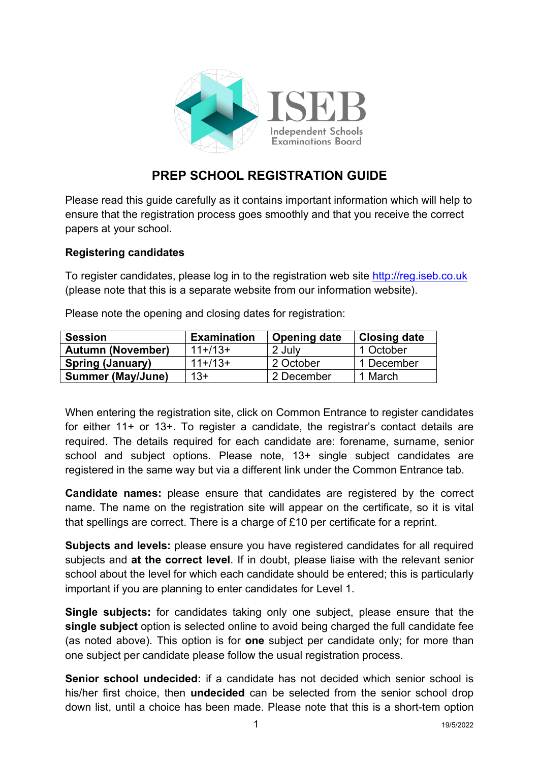

# **PREP SCHOOL REGISTRATION GUIDE**

Please read this guide carefully as it contains important information which will help to ensure that the registration process goes smoothly and that you receive the correct papers at your school.

## **Registering candidates**

To register candidates, please log in to the registration web site [http://reg.iseb.co.uk](http://reg.iseb.co.uk/) (please note that this is a separate website from our information website).

| <b>Session</b>           | <b>Examination</b> | <b>Opening date</b> | <b>Closing date</b> |
|--------------------------|--------------------|---------------------|---------------------|
| <b>Autumn (November)</b> | $11+13+$           | 2 July              | 1 October           |
| <b>Spring (January)</b>  | $11+113+$          | 2 October           | 1 December          |
| <b>Summer (May/June)</b> | 13+                | 2 December          | 1 March             |

Please note the opening and closing dates for registration:

When entering the registration site, click on Common Entrance to register candidates for either 11+ or 13+. To register a candidate, the registrar's contact details are required. The details required for each candidate are: forename, surname, senior school and subject options. Please note, 13+ single subject candidates are registered in the same way but via a different link under the Common Entrance tab.

**Candidate names:** please ensure that candidates are registered by the correct name. The name on the registration site will appear on the certificate, so it is vital that spellings are correct. There is a charge of £10 per certificate for a reprint.

**Subjects and levels:** please ensure you have registered candidates for all required subjects and **at the correct level**. If in doubt, please liaise with the relevant senior school about the level for which each candidate should be entered; this is particularly important if you are planning to enter candidates for Level 1.

**Single subjects:** for candidates taking only one subject, please ensure that the **single subject** option is selected online to avoid being charged the full candidate fee (as noted above). This option is for **one** subject per candidate only; for more than one subject per candidate please follow the usual registration process.

**Senior school undecided:** if a candidate has not decided which senior school is his/her first choice, then **undecided** can be selected from the senior school drop down list, until a choice has been made. Please note that this is a short-tem option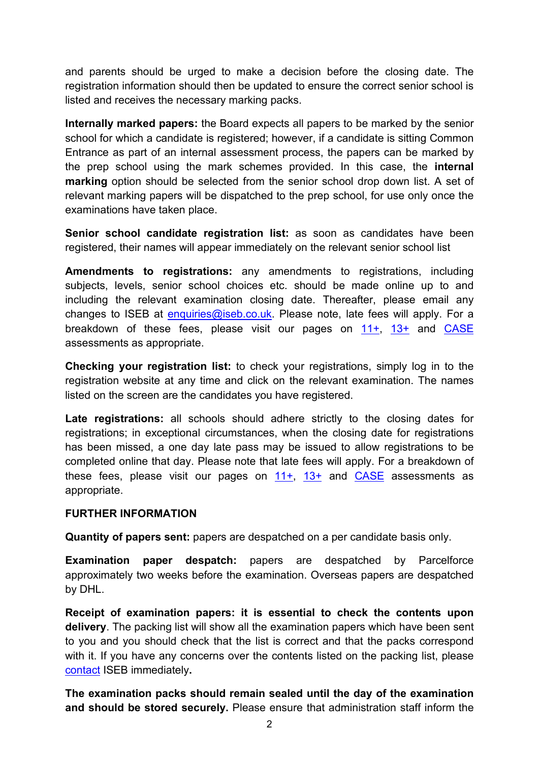and parents should be urged to make a decision before the closing date. The registration information should then be updated to ensure the correct senior school is listed and receives the necessary marking packs.

**Internally marked papers:** the Board expects all papers to be marked by the senior school for which a candidate is registered; however, if a candidate is sitting Common Entrance as part of an internal assessment process, the papers can be marked by the prep school using the mark schemes provided. In this case, the **internal marking** option should be selected from the senior school drop down list. A set of relevant marking papers will be dispatched to the prep school, for use only once the examinations have taken place.

**Senior school candidate registration list:** as soon as candidates have been registered, their names will appear immediately on the relevant senior school list

**Amendments to registrations:** any amendments to registrations, including subjects, levels, senior school choices etc. should be made online up to and including the relevant examination closing date. Thereafter, please email any changes to ISEB at [enquiries@iseb.co.uk.](mailto:enquiries@iseb.co.uk) Please note, late fees will apply. For a breakdown of these fees, please visit our pages on [11+,](https://www.iseb.co.uk/assessments/common-entrance/at-11-for-schools) [13+](https://www.iseb.co.uk/assessments/common-entrance/at-13-for-schools) and [CASE](https://www.iseb.co.uk/assessments/common-entrance/case-for-schools) assessments as appropriate.

**Checking your registration list:** to check your registrations, simply log in to the registration website at any time and click on the relevant examination. The names listed on the screen are the candidates you have registered.

**Late registrations:** all schools should adhere strictly to the closing dates for registrations; in exceptional circumstances, when the closing date for registrations has been missed, a one day late pass may be issued to allow registrations to be completed online that day. Please note that late fees will apply. For a breakdown of these fees, please visit our pages on  $11+$ ,  $13+$  and [CASE](https://www.iseb.co.uk/assessments/common-entrance/case-for-schools) assessments as appropriate.

#### **FURTHER INFORMATION**

**Quantity of papers sent:** papers are despatched on a per candidate basis only.

**Examination paper despatch:** papers are despatched by Parcelforce approximately two weeks before the examination. Overseas papers are despatched by DHL.

**Receipt of examination papers: it is essential to check the contents upon delivery**. The packing list will show all the examination papers which have been sent to you and you should check that the list is correct and that the packs correspond with it. If you have any concerns over the contents listed on the packing list, please [contact](http://www.iseb.co.uk/Contact-Us) ISEB immediately**.**

**The examination packs should remain sealed until the day of the examination and should be stored securely.** Please ensure that administration staff inform the